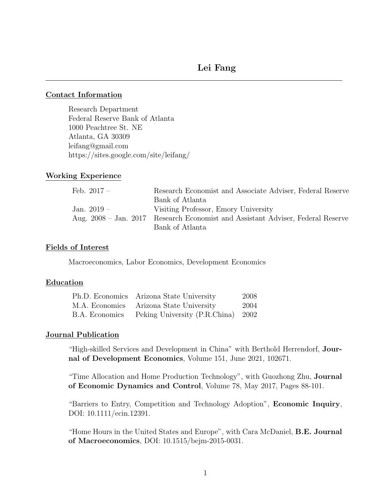## Contact Information

Research Department Federal Reserve Bank of Atlanta 1000 Peachtree St. NE Atlanta, GA 30309 leifang@gmail.com https://sites.google.com/site/leifang/

# Working Experience

| Feb. $2017 -$ | Research Economist and Associate Adviser, Federal Reserve                       |
|---------------|---------------------------------------------------------------------------------|
|               | Bank of Atlanta                                                                 |
| Jan. $2019-$  | Visiting Professor, Emory University                                            |
|               | Aug. 2008 – Jan. 2017 Research Economist and Assistant Adviser, Federal Reserve |
|               | Bank of Atlanta                                                                 |

# Fields of Interest

Macroeconomics, Labor Economics, Development Economics

## Education

|                | Ph.D. Economics Arizona State University | 2008 |
|----------------|------------------------------------------|------|
|                | M.A. Economics Arizona State University  | 2004 |
| B.A. Economics | Peking University (P.R.China) 2002       |      |

## Journal Publication

"High-skilled Services and Development in China" with Berthold Herrendorf, Journal of Development Economics, Volume 151, June 2021, 102671.

"Time Allocation and Home Production Technology", with Guozhong Zhu, Journal of Economic Dynamics and Control, Volume 78, May 2017, Pages 88-101.

"Barriers to Entry, Competition and Technology Adoption", Economic Inquiry, DOI: 10.1111/ecin.12391.

"Home Hours in the United States and Europe", with Cara McDaniel, B.E. Journal of Macroeconomics, DOI: 10.1515/bejm-2015-0031.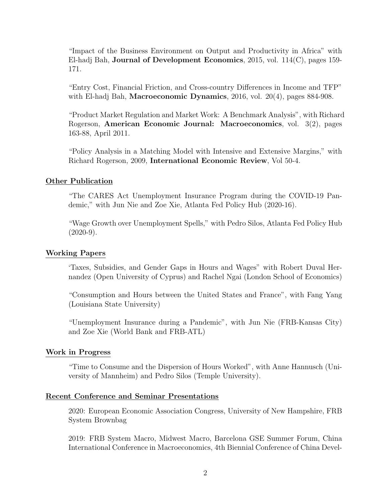"Impact of the Business Environment on Output and Productivity in Africa" with El-hadj Bah, Journal of Development Economics, 2015, vol. 114(C), pages 159- 171.

"Entry Cost, Financial Friction, and Cross-country Differences in Income and TFP" with El-hadj Bah, Macroeconomic Dynamics,  $2016$ , vol.  $20(4)$ , pages  $884-908$ .

"Product Market Regulation and Market Work: A Benchmark Analysis", with Richard Rogerson, American Economic Journal: Macroeconomics, vol. 3(2), pages 163-88, April 2011.

"Policy Analysis in a Matching Model with Intensive and Extensive Margins," with Richard Rogerson, 2009, International Economic Review, Vol 50-4.

## Other Publication

"The CARES Act Unemployment Insurance Program during the COVID-19 Pandemic," with Jun Nie and Zoe Xie, Atlanta Fed Policy Hub (2020-16).

"Wage Growth over Unemployment Spells," with Pedro Silos, Atlanta Fed Policy Hub  $(2020-9)$ .

#### Working Papers

'Taxes, Subsidies, and Gender Gaps in Hours and Wages" with Robert Duval Hernandez (Open University of Cyprus) and Rachel Ngai (London School of Economics)

"Consumption and Hours between the United States and France", with Fang Yang (Louisiana State University)

"Unemployment Insurance during a Pandemic", with Jun Nie (FRB-Kansas City) and Zoe Xie (World Bank and FRB-ATL)

# Work in Progress

"Time to Consume and the Dispersion of Hours Worked", with Anne Hannusch (University of Mannheim) and Pedro Silos (Temple University).

#### Recent Conference and Seminar Presentations

2020: European Economic Association Congress, University of New Hampshire, FRB System Brownbag

2019: FRB System Macro, Midwest Macro, Barcelona GSE Summer Forum, China International Conference in Macroeconomics, 4th Biennial Conference of China Devel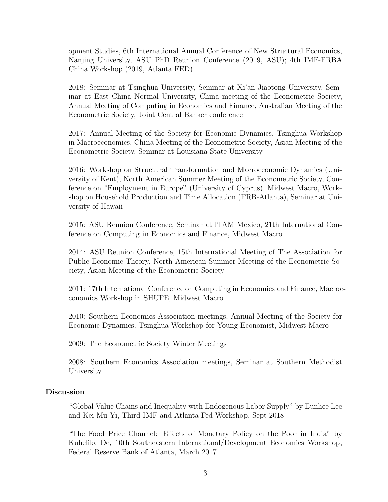opment Studies, 6th International Annual Conference of New Structural Economics, Nanjing University, ASU PhD Reunion Conference (2019, ASU); 4th IMF-FRBA China Workshop (2019, Atlanta FED).

2018: Seminar at Tsinghua University, Seminar at Xi'an Jiaotong University, Seminar at East China Normal University, China meeting of the Econometric Society, Annual Meeting of Computing in Economics and Finance, Australian Meeting of the Econometric Society, Joint Central Banker conference

2017: Annual Meeting of the Society for Economic Dynamics, Tsinghua Workshop in Macroeconomics, China Meeting of the Econometric Society, Asian Meeting of the Econometric Society, Seminar at Louisiana State University

2016: Workshop on Structural Transformation and Macroeconomic Dynamics (University of Kent), North American Summer Meeting of the Econometric Society, Conference on "Employment in Europe" (University of Cyprus), Midwest Macro, Workshop on Household Production and Time Allocation (FRB-Atlanta), Seminar at University of Hawaii

2015: ASU Reunion Conference, Seminar at ITAM Mexico, 21th International Conference on Computing in Economics and Finance, Midwest Macro

2014: ASU Reunion Conference, 15th International Meeting of The Association for Public Economic Theory, North American Summer Meeting of the Econometric Society, Asian Meeting of the Econometric Society

2011: 17th International Conference on Computing in Economics and Finance, Macroeconomics Workshop in SHUFE, Midwest Macro

2010: Southern Economics Association meetings, Annual Meeting of the Society for Economic Dynamics, Tsinghua Workshop for Young Economist, Midwest Macro

2009: The Econometric Society Winter Meetings

2008: Southern Economics Association meetings, Seminar at Southern Methodist University

# Discussion

"Global Value Chains and Inequality with Endogenous Labor Supply" by Eunhee Lee and Kei-Mu Yi, Third IMF and Atlanta Fed Workshop, Sept 2018

"The Food Price Channel: Effects of Monetary Policy on the Poor in India" by Kuhelika De, 10th Southeastern International/Development Economics Workshop, Federal Reserve Bank of Atlanta, March 2017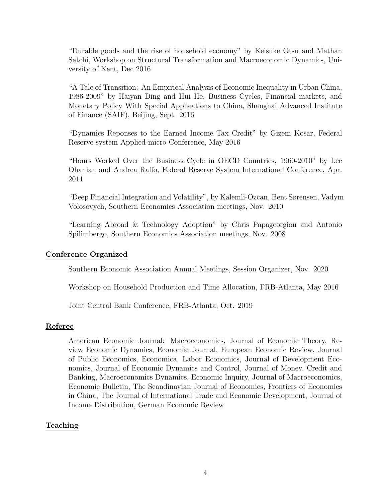"Durable goods and the rise of household economy" by Keisuke Otsu and Mathan Satchi, Workshop on Structural Transformation and Macroeconomic Dynamics, University of Kent, Dec 2016

"A Tale of Transition: An Empirical Analysis of Economic Inequality in Urban China, 1986-2009" by Haiyan Ding and Hui He, Business Cycles, Financial markets, and Monetary Policy With Special Applications to China, Shanghai Advanced Institute of Finance (SAIF), Beijing, Sept. 2016

"Dynamics Reponses to the Earned Income Tax Credit" by Gizem Kosar, Federal Reserve system Applied-micro Conference, May 2016

"Hours Worked Over the Business Cycle in OECD Countries, 1960-2010" by Lee Ohanian and Andrea Raffo, Federal Reserve System International Conference, Apr. 2011

"Deep Financial Integration and Volatility", by Kalemli-Ozcan, Bent Sørensen, Vadym Volosovych, Southern Economics Association meetings, Nov. 2010

"Learning Abroad & Technology Adoption" by Chris Papageorgiou and Antonio Spilimbergo, Southern Economics Association meetings, Nov. 2008

# Conference Organized

Southern Economic Association Annual Meetings, Session Organizer, Nov. 2020

Workshop on Household Production and Time Allocation, FRB-Atlanta, May 2016

Joint Central Bank Conference, FRB-Atlanta, Oct. 2019

## Referee

American Economic Journal: Macroeconomics, Journal of Economic Theory, Review Economic Dynamics, Economic Journal, European Economic Review, Journal of Public Economics, Economica, Labor Economics, Journal of Development Economics, Journal of Economic Dynamics and Control, Journal of Money, Credit and Banking, Macroeconomics Dynamics, Economic Inquiry, Journal of Macroeconomics, Economic Bulletin, The Scandinavian Journal of Economics, Frontiers of Economics in China, The Journal of International Trade and Economic Development, Journal of Income Distribution, German Economic Review

# Teaching